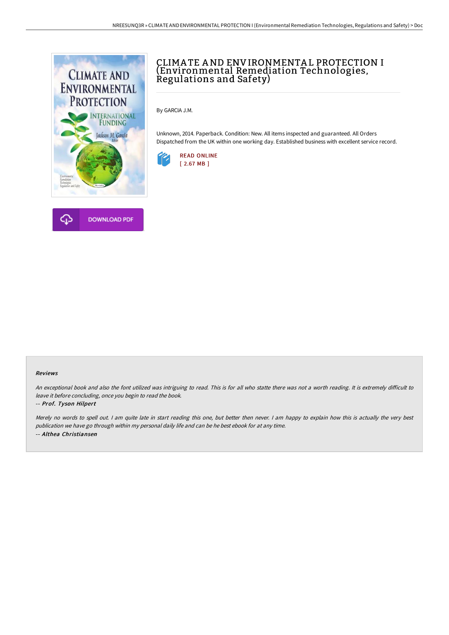

## CLIMATE AND ENVIRONMENTAL PROTECTION I (Environmental Remediation Technologies, Regulations and Safety)

By GARCIA J.M.

Unknown, 2014. Paperback. Condition: New. All items inspected and guaranteed. All Orders Dispatched from the UK within one working day. Established business with excellent service record.





## Reviews

An exceptional book and also the font utilized was intriguing to read. This is for all who statte there was not a worth reading. It is extremely difficult to leave it before concluding, once you begin to read the book.

## -- Prof. Tyson Hilpert

Merely no words to spell out. I am quite late in start reading this one, but better then never. I am happy to explain how this is actually the very best publication we have go through within my personal daily life and can be he best ebook for at any time. -- Althea Christiansen